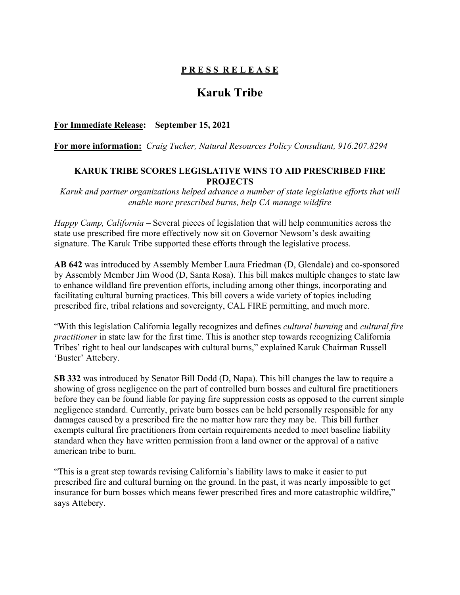## **P R E S S R E L E A S E**

# **Karuk Tribe**

#### **For Immediate Release: September 15, 2021**

**For more information:** *Craig Tucker, Natural Resources Policy Consultant, 916.207.8294*

#### **KARUK TRIBE SCORES LEGISLATIVE WINS TO AID PRESCRIBED FIRE PROJECTS**

*Karuk and partner organizations helped advance a number of state legislative efforts that will enable more prescribed burns, help CA manage wildfire*

*Happy Camp, California* – Several pieces of legislation that will help communities across the state use prescribed fire more effectively now sit on Governor Newsom's desk awaiting signature. The Karuk Tribe supported these efforts through the legislative process.

**AB 642** was introduced by Assembly Member Laura Friedman (D, Glendale) and co-sponsored by Assembly Member Jim Wood (D, Santa Rosa). This bill makes multiple changes to state law to enhance wildland fire prevention efforts, including among other things, incorporating and facilitating cultural burning practices. This bill covers a wide variety of topics including prescribed fire, tribal relations and sovereignty, CAL FIRE permitting, and much more.

"With this legislation California legally recognizes and defines *cultural burning* and *cultural fire practitioner* in state law for the first time. This is another step towards recognizing California Tribes' right to heal our landscapes with cultural burns," explained Karuk Chairman Russell 'Buster' Attebery.

**SB 332** was introduced by Senator Bill Dodd (D, Napa). This bill changes the law to require a showing of gross negligence on the part of controlled burn bosses and cultural fire practitioners before they can be found liable for paying fire suppression costs as opposed to the current simple negligence standard. Currently, private burn bosses can be held personally responsible for any damages caused by a prescribed fire the no matter how rare they may be. This bill further exempts cultural fire practitioners from certain requirements needed to meet baseline liability standard when they have written permission from a land owner or the approval of a native american tribe to burn.

"This is a great step towards revising California's liability laws to make it easier to put prescribed fire and cultural burning on the ground. In the past, it was nearly impossible to get insurance for burn bosses which means fewer prescribed fires and more catastrophic wildfire," says Attebery.